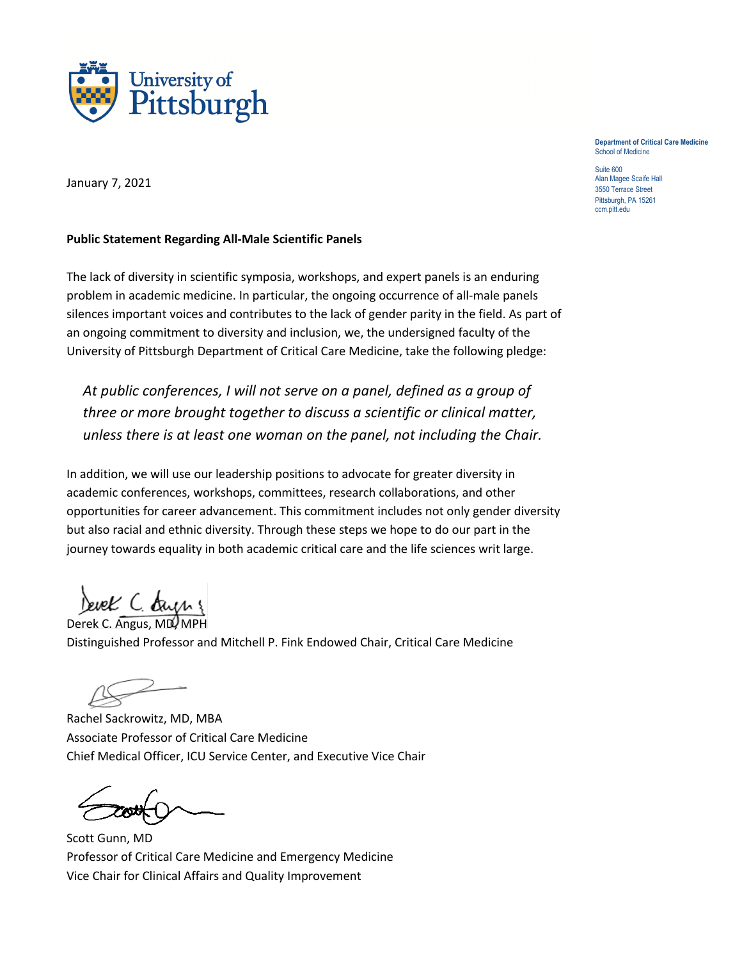

**Department of Critical Care Medicine** School of Medicine

Suite 600 Alan Magee Scaife Hall 3550 Terrace Street Pittsburgh, PA 15261 ccm.pitt.edu

January 7, 2021

## **Public Statement Regarding All-Male Scientific Panels**

The lack of diversity in scientific symposia, workshops, and expert panels is an enduring problem in academic medicine. In particular, the ongoing occurrence of all-male panels silences important voices and contributes to the lack of gender parity in the field. As part of an ongoing commitment to diversity and inclusion, we, the undersigned faculty of the University of Pittsburgh Department of Critical Care Medicine, take the following pledge:

*At public conferences, I will not serve on a panel, defined as a group of three or more brought together to discuss a scientific or clinical matter, unless there is at least one woman on the panel, not including the Chair.*

In addition, we will use our leadership positions to advocate for greater diversity in academic conferences, workshops, committees, research collaborations, and other opportunities for career advancement. This commitment includes not only gender diversity but also racial and ethnic diversity. Through these steps we hope to do our part in the journey towards equality in both academic critical care and the life sciences writ large.

Devek C. dryng

Derek C. Angus, MD, MPH Distinguished Professor and Mitchell P. Fink Endowed Chair, Critical Care Medicine

Rachel Sackrowitz, MD, MBA Associate Professor of Critical Care Medicine Chief Medical Officer, ICU Service Center, and Executive Vice Chair

Scott Gunn, MD Professor of Critical Care Medicine and Emergency Medicine Vice Chair for Clinical Affairs and Quality Improvement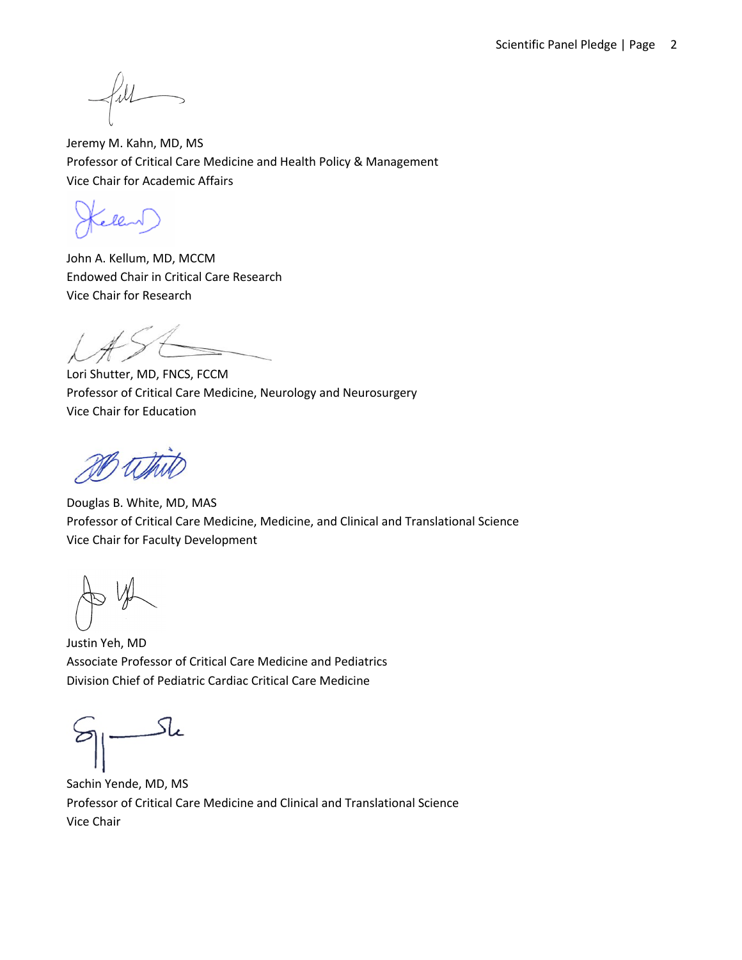Jeremy M. Kahn, MD, MS Professor of Critical Care Medicine and Health Policy & Management Vice Chair for Academic Affairs

John A. Kellum, MD, MCCM Endowed Chair in Critical Care Research Vice Chair for Research

Lori Shutter, MD, FNCS, FCCM Professor of Critical Care Medicine, Neurology and Neurosurgery Vice Chair for Education

Douglas B. White, MD, MAS Professor of Critical Care Medicine, Medicine, and Clinical and Translational Science Vice Chair for Faculty Development

Justin Yeh, MD Associate Professor of Critical Care Medicine and Pediatrics Division Chief of Pediatric Cardiac Critical Care Medicine

Sachin Yende, MD, MS Professor of Critical Care Medicine and Clinical and Translational Science Vice Chair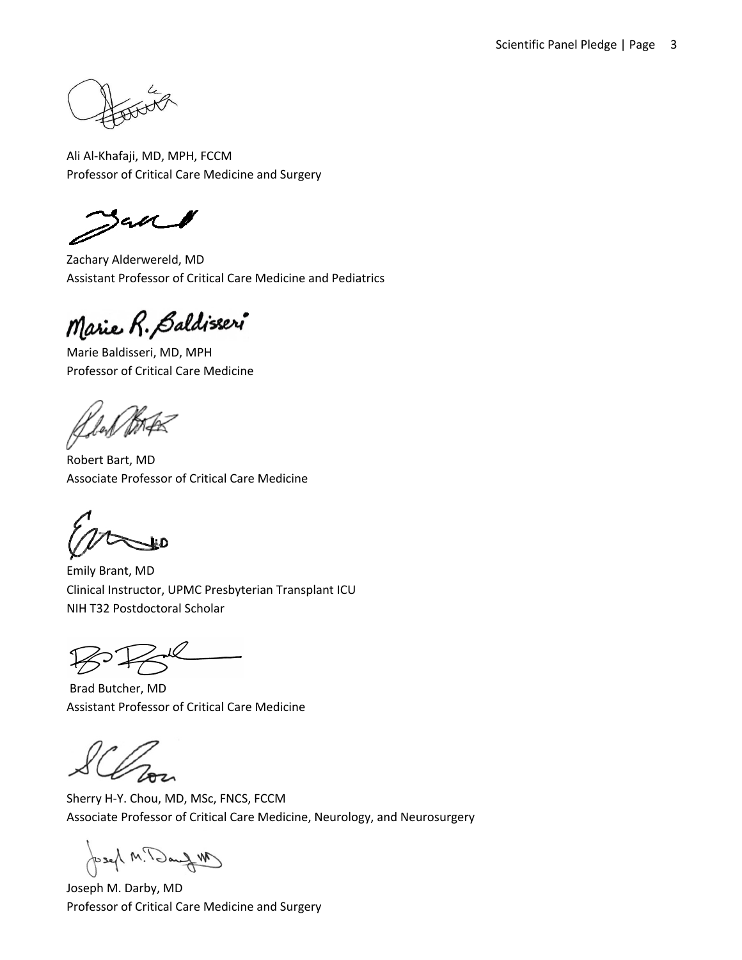Ali Al-Khafaji, MD, MPH, FCCM Professor of Critical Care Medicine and Surgery

an

Zachary Alderwereld, MD Assistant Professor of Critical Care Medicine and Pediatrics

Marie R. Baldisseri

Marie Baldisseri, MD, MPH Professor of Critical Care Medicine

'Щ

Robert Bart, MD Associate Professor of Critical Care Medicine

Emily Brant, MD Clinical Instructor, UPMC Presbyterian Transplant ICU NIH T32 Postdoctoral Scholar

Brad Butcher, MD Assistant Professor of Critical Care Medicine

Sherry H-Y. Chou, MD, MSc, FNCS, FCCM Associate Professor of Critical Care Medicine, Neurology, and Neurosurgery

Mfra P.M Jesey

Joseph M. Darby, MD Professor of Critical Care Medicine and Surgery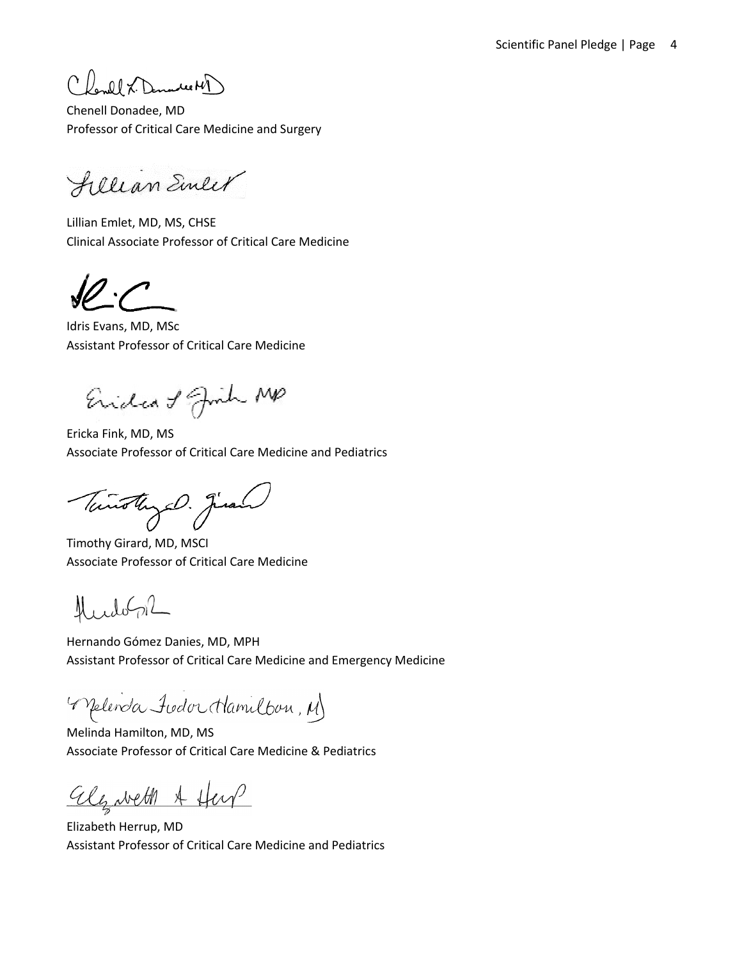Charlet X. Dennes MP

Chenell Donadee, MD Professor of Critical Care Medicine and Surgery

fillian Einler

Lillian Emlet, MD, MS, CHSE Clinical Associate Professor of Critical Care Medicine

Idris Evans, MD, MSc Assistant Professor of Critical Care Medicine

Eridea of Juin MP

Ericka Fink, MD, MS Associate Professor of Critical Care Medicine and Pediatrics

Tunothy D. Juan

Timothy Girard, MD, MSCI Associate Professor of Critical Care Medicine

 $L\log L$ N

Hernando Gómez Danies, MD, MPH Assistant Professor of Critical Care Medicine and Emergency Medicine

Melenda Judor Mamilbon, M

Melinda Hamilton, MD, MS Associate Professor of Critical Care Medicine & Pediatrics

algueth A Hey

Elizabeth Herrup, MD Assistant Professor of Critical Care Medicine and Pediatrics